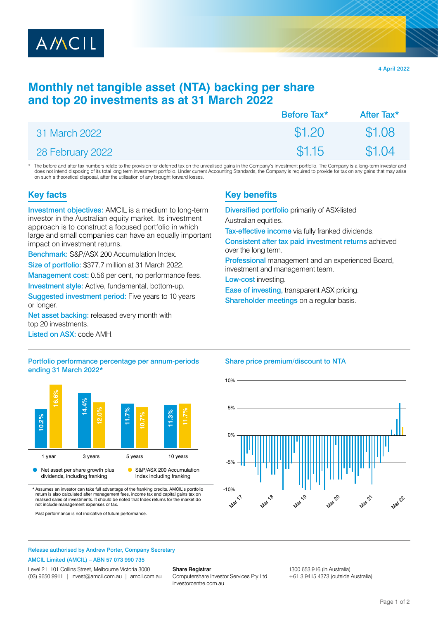

4 April 2022

# **Monthly net tangible asset (NTA) backing per share and top 20 investments as at 31 March 2022**

|                  | Before Tax <sup>*</sup> | After Tax* |
|------------------|-------------------------|------------|
| 31 March 2022    | \$1,20                  | \$1.08     |
| 28 February 2022 | \$1.15                  | \$1.04     |

The before and after tax numbers relate to the provision for deferred tax on the unrealised gains in the Company's investment portfolio. The Company is a long-term investor and does not intend disposing of its total long term investment portfolio. Under current Accounting Standards, the Company is required to provide for tax on any gains that may arise on such a theoretical disposal, after the utilisation of any brought forward losses.

### **Key facts**

Investment objectives: AMCIL is a medium to long-term investor in the Australian equity market. Its investment approach is to construct a focused portfolio in which large and small companies can have an equally important impact on investment returns.

Benchmark: S&P/ASX 200 Accumulation Index.

Size of portfolio: \$377.7 million at 31 March 2022.

Management cost: 0.56 per cent, no performance fees.

Investment style: Active, fundamental, bottom-up.

Suggested investment period: Five years to 10 years or longer.

Net asset backing: released every month with top 20 investments.

Listed on ASX: code AMH.

#### Portfolio performance percentage per annum-periods ending 31 March 2022\*



\* Assumes an investor can take full advantage of the franking credits. AMCIL's portfolio return is also calculated after management fees, income tax and capital gains realised sales of investments. It should be noted that Index returns for the market do not include management expenses or tax.

Past performance is not indicative of future performance.

## **Key benefits**

Diversified portfolio primarily of ASX-listed Australian equities.

Tax-effective income via fully franked dividends.

Consistent after tax paid investment returns achieved over the long term.

Professional management and an experienced Board, investment and management team.

Low-cost investing.

Ease of investing, transparent ASX pricing.

Shareholder meetings on a regular basis.

#### Share price premium/discount to NTA



#### Release authorised by Andrew Porter, Company Secretary

#### AMCIL Limited (AMCIL) – ABN 57 073 990 735

Level 21, 101 Collins Street, Melbourne Victoria 3000 (03) 9650 9911 | [invest@amcil.com.au](mailto:invest@amcil.com.au) | [amcil.com.au](http://amcil.com.au)

#### Share Registrar

Computershare Investor Services Pty Ltd [investorcentre.com.au](http://investorcentre.com.au)

1300 653 916 (in Australia) +61 3 9415 4373 (outside Australia)